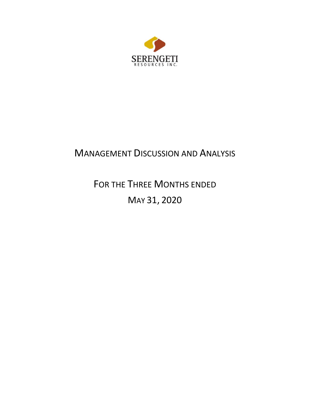

# MANAGEMENT DISCUSSION AND ANALYSIS

FOR THE THREE MONTHS ENDED MAY 31, 2020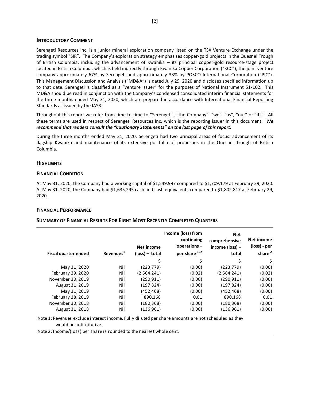# **INTRODUCTORY COMMENT**

Serengeti Resources Inc. is a junior mineral exploration company listed on the TSX Venture Exchange under the trading symbol "SIR". The Company's exploration strategy emphasizes copper-gold projects in the Quesnel Trough of British Columbia, including the advancement of Kwanika – its principal copper-gold resource-stage project located in British Columbia, which is held indirectly through Kwanika Copper Corporation ("KCC"), the joint venture company approximately 67% by Serengeti and approximately 33% by POSCO International Corporation ("PIC"). This Management Discussion and Analysis ("MD&A") is dated July 29, 2020 and discloses specified information up to that date. Serengeti is classified as a "venture issuer" for the purposes of National Instrument 51-102. This MD&A should be read in conjunction with the Company's condensed consolidated interim financial statements for the three months ended May 31, 2020, which are prepared in accordance with International Financial Reporting Standards as issued by the IASB.

Throughout this report we refer from time to time to "Serengeti", "the Company", "we", "us", "our" or "its". All these terms are used in respect of Serengeti Resources Inc. which is the reporting issuer in this document. *We recommend that readers consult the "Cautionary Statements" on the last page of this report.*

During the three months ended May 31, 2020, Serengeti had two principal areas of focus: advancement of its flagship Kwanika and maintenance of its extensive portfolio of properties in the Quesnel Trough of British Columbia.

# **HIGHLIGHTS**

# **FINANCIAL CONDITION**

At May 31, 2020, the Company had a working capital of \$1,549,997 compared to \$1,709,179 at February 29, 2020. At May 31, 2020, the Company had \$1,635,295 cash and cash equivalents compared to \$1,802,817 at February 29, 2020.

# **FINANCIAL PERFORMANCE**

# **SUMMARY OF FINANCIAL RESULTS FOR EIGHT MOST RECENTLY COMPLETED QUARTERS**

| Fiscal quarter ended | Revenues <sup>1</sup> | Net income<br>$(\text{loss})$ – total | Income (loss) from<br>continuing<br>operations-<br>per share 1,2 | <b>Net</b><br>comprehensive<br>income (loss) -<br>total | Net income<br>(loss) - per<br>share <sup>2</sup> |
|----------------------|-----------------------|---------------------------------------|------------------------------------------------------------------|---------------------------------------------------------|--------------------------------------------------|
|                      |                       | \$                                    | \$                                                               | \$                                                      | \$                                               |
| May 31, 2020         | Nil                   | (223, 779)                            | (0.00)                                                           | (223, 779)                                              | (0.00)                                           |
| February 29, 2020    | Nil                   | (2,564,241)                           | (0.02)                                                           | (2,564,241)                                             | (0.02)                                           |
| November 30, 2019    | Nil                   | (290.911)                             | (0.00)                                                           | (290, 911)                                              | (0.00)                                           |
| August 31, 2019      | Nil                   | (197, 824)                            | (0.00)                                                           | (197, 824)                                              | (0.00)                                           |
| May 31, 2019         | Nil                   | (452,468)                             | (0.00)                                                           | (452, 468)                                              | (0.00)                                           |
| February 28, 2019    | Nil                   | 890,168                               | 0.01                                                             | 890,168                                                 | 0.01                                             |
| November 30, 2018    | Nil                   | (180, 368)                            | (0.00)                                                           | (180, 368)                                              | (0.00)                                           |
| August 31, 2018      | Nil                   | (136, 961)                            | (0.00)                                                           | (136, 961)                                              | (0.00)                                           |

Note 1: Revenues exclude interest income. Fully diluted per share amounts are not scheduled as they would be anti-dilutive.

Note 2: Income/(loss) per share is rounded to the nearest whole cent.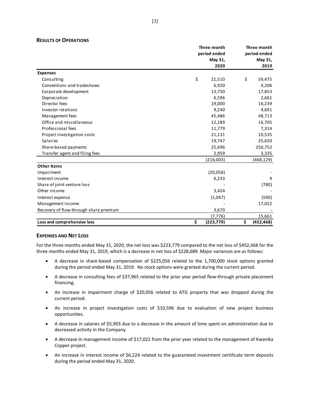## **RESULTS OF OPERATIONS**

|                                        | Three month      | Three month      |
|----------------------------------------|------------------|------------------|
|                                        | period ended     | period ended     |
|                                        | May 31,          | May 31,          |
|                                        | 2020             | 2019             |
| <b>Expenses</b>                        |                  |                  |
| Consulting                             | \$<br>21,510     | \$<br>59,475     |
| Conventions and tradeshows             | 6,920            | 4,206            |
| Corporate development                  | 13,750           | 17,853           |
| Depreciation                           | 6,596            | 2,661            |
| Director fees                          | 19,000           | 16,239           |
| Investor relations                     | 9,240            | 4,691            |
| Management fees                        | 45,486           | 48,713           |
| Office and miscellaneous               | 12,189           | 16,705           |
| Professional fees                      | 11,779           | 7,314            |
| Project investigation costs            | 21,131           | 10,535           |
| <b>Salaries</b>                        | 19,747           | 25,650           |
| Share-based payments                   | 25,696           | 250,752          |
| Transfer agent and filing fees         | 2,959            | 3,335            |
|                                        | (216,003)        | (468, 129)       |
| <b>Other Items</b>                     |                  |                  |
| Impairment                             | (20,056)         |                  |
| Interest income                        | 6,233            | 9                |
| Share of joint venture loss            |                  | (780)            |
| Other income                           | 3,424            |                  |
| Interest expense                       | (1,047)          | (590)            |
| Management income                      |                  | 17,022           |
| Recovery of flow-through share premium | 3,670            |                  |
|                                        | (7, 776)         | 15,661           |
| Loss and comprehensive loss            | \$<br>(223, 779) | \$<br>(452, 468) |

# **EXPENSES AND NET LOSS**

For the three months ended May 31, 2020, the net loss was \$223,779 compared to the net loss of \$452,468 for the three months ended May 31, 2019, which is a decrease in net loss of \$228,689. Major variances are as follows:

- A decrease in share-based compensation of \$225,056 related to the 1,700,000 stock options granted during the period ended May 31, 2019. No stock options were granted during the current period.
- A decrease in consulting fees of \$37,965 related to the prior year period flow-through private placement financing.
- An increase in impairment charge of \$20,056 related to ATG property that was dropped during the current period.
- An increase in project investigation costs of \$10,596 due to evaluation of new project business opportunities.
- A decrease in salaries of \$5,903 due to a decrease in the amount of time spent on administration due to decreased activity in the Company.
- A decrease in management income of \$17,022 from the prior year related to the management of Kwanika Copper project.
- An increase in interest income of \$6,224 related to the guaranteed investment certificate term deposits during the period ended May 31, 2020.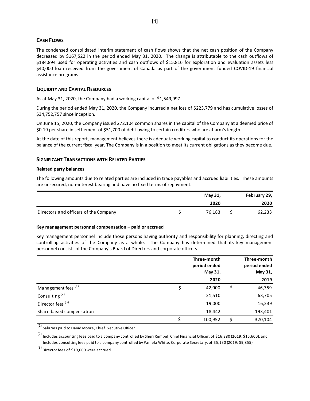# **CASH FLOWS**

The condensed consolidated interim statement of cash flows shows that the net cash position of the Company decreased by \$167,522 in the period ended May 31, 2020. The change is attributable to the cash outflows of \$184,894 used for operating activities and cash outflows of \$15,816 for exploration and evaluation assets less \$40,000 loan received from the government of Canada as part of the government funded COVID-19 financial assistance programs.

# **LIQUIDITY AND CAPITAL RESOURCES**

As at May 31, 2020, the Company had a working capital of \$1,549,997.

During the period ended May 31, 2020, the Company incurred a net loss of \$223,779 and has cumulative losses of \$34,752,757 since inception.

On June 15, 2020, the Company issued 272,104 common shares in the capital of the Company at a deemed price of \$0.19 per share in settlement of \$51,700 of debt owing to certain creditors who are at arm's length.

At the date of this report, management believes there is adequate working capital to conduct its operations for the balance of the current fiscal year. The Company is in a position to meet its current obligations as they become due.

# **SIGNIFICANT TRANSACTIONS WITH RELATED PARTIES**

#### **Related party balances**

The following amounts due to related parties are included in trade payables and accrued liabilities. These amounts are unsecured, non-interest bearing and have no fixed terms of repayment.

|                                       | May 31, | February 29, |
|---------------------------------------|---------|--------------|
|                                       | 2020    | 2020         |
| Directors and officers of the Company | 76.183  | 62,233       |

# **Key management personnel compensation – paid or accrued**

Key management personnel include those persons having authority and responsibility for planning, directing and controlling activities of the Company as a whole. The Company has determined that its key management personnel consists of the Company's Board of Directors and corporate officers.

|                                | Three-month  |   | Three-month  |
|--------------------------------|--------------|---|--------------|
|                                | period ended |   | period ended |
|                                | May 31,      |   | May 31,      |
|                                | 2020         |   | 2019         |
| Management fees <sup>(1)</sup> | 42,000       | S | 46,759       |
| Consulting <sup>(2)</sup>      | 21,510       |   | 63,705       |
| Director fees <sup>(3)</sup>   | 19,000       |   | 16,239       |
| Share-based compensation       | 18,442       |   | 193,401      |
|                                | 100,952      |   | 320,104      |

 $\overline{(1)}$  Salaries paid to David Moore, Chief Executive Officer.

<sup>(2)</sup> Includes accounting fees paid to a company controlled by Sheri Rempel, Chief Financial Officer, of \$16,380 (2019: \$15,600); and Includes consulting fees paid to a company controlled by Pamela White, Corporate Secretary, of \$5,130 (2019: \$9,855)

(3) Director fees of \$19,000 were accrued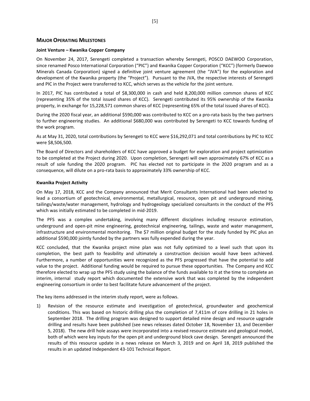# **MAJOR OPERATING MILESTONES**

#### **Joint Venture – Kwanika Copper Company**

On November 24, 2017, Serengeti completed a transaction whereby Serengeti, POSCO DAEWOO Corporation, since renamed Posco International Corporation ("PIC") and Kwanika Copper Corporation ("KCC") (formerly Daewoo Minerals Canada Corporation) signed a definitive joint venture agreement (the "JVA") for the exploration and development of the Kwanika property (the "Project"). Pursuant to the JVA, the respective interests of Serengeti and PIC in the Project were transferred to KCC, which serves as the vehicle for the joint venture.

In 2017, PIC has contributed a total of \$8,300,000 in cash and held 8,200,000 million common shares of KCC (representing 35% of the total issued shares of KCC). Serengeti contributed its 95% ownership of the Kwanika property, in exchange for 15,228,571 common shares of KCC (representing 65% of the total issued shares of KCC).

During the 2020 fiscal year, an additional \$590,000 was contributed to KCC on a pro-rata basis by the two partners to further engineering studies. An additional \$680,000 was contributed by Serengeti to KCC towards funding of the work program.

As at May 31, 2020, total contributions by Serengeti to KCC were \$16,292,071 and total contributions by PIC to KCC were \$8,506,500.

The Board of Directors and shareholders of KCC have approved a budget for exploration and project optimization to be completed at the Project during 2020. Upon completion, Serengeti will own approximately 67% of KCC as a result of sole funding the 2020 program. PIC has elected not to participate in the 2020 program and as a consequence, will dilute on a pro-rata basis to approximately 33% ownership of KCC.

#### **Kwanika Project Activity**

On May 17, 2018, KCC and the Company announced that Merit Consultants International had been selected to lead a consortium of geotechnical, environmental, metallurgical, resource, open pit and underground mining, tailings/waste/water management, hydrology and hydrogeology specialized consultants in the conduct of the PFS which was initially estimated to be completed in mid-2019.

The PFS was a complex undertaking, involving many different disciplines including resource estimation, underground and open-pit mine engineering, geotechnical engineering, tailings, waste and water management, infrastructure and environmental monitoring. The \$7 million original budget for the study funded by PIC plus an additional \$590,000 jointly funded by the partners was fully expended during the year.

KCC concluded, that the Kwanika project mine plan was not fully optimized to a level such that upon its completion, the best path to feasibility and ultimately a construction decision would have been achieved. Furthermore, a number of opportunities were recognized as the PFS progressed that have the potential to add value to the project. Additional funding would be required to pursue these opportunities. The Company and KCC therefore elected to wrap up the PFS study using the balance of the funds available to it at the time to complete an interim, internal study report which documented the extensive work that was completed by the independent engineering consortium in order to best facilitate future advancement of the project.

The key items addressed in the interim study report, were as follows.

1) Revision of the resource estimate and investigation of geotechnical, groundwater and geochemical conditions. This was based on historic drilling plus the completion of 7,411m of core drilling in 21 holes in September 2018. The drilling program was designed to support detailed mine design and resource upgrade drilling and results have been published (see news releases dated October 18, November 13, and December 5, 2018). The new drill hole assays were incorporated into a revised resource estimate and geological model, both of which were key inputs for the open pit and underground block cave design. Serengeti announced the results of this resource update in a news release on March 3, 2019 and on April 18, 2019 published the results in an updated Independent 43-101 Technical Report.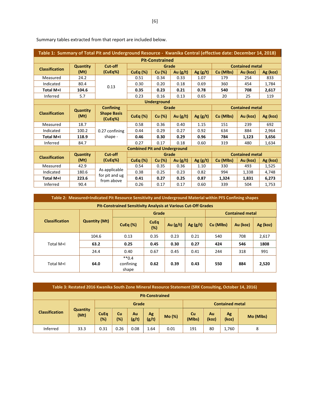|                       |                 | Table 1: Summary of Total Pit and Underground Resource - Kwanika Central (effective date: December 14, 2018) |                                     |                        |            |            |           |                        |          |
|-----------------------|-----------------|--------------------------------------------------------------------------------------------------------------|-------------------------------------|------------------------|------------|------------|-----------|------------------------|----------|
|                       |                 |                                                                                                              |                                     | <b>Pit-Constrained</b> |            |            |           |                        |          |
| <b>Classification</b> | <b>Quantity</b> | Cut-off                                                                                                      |                                     | Grade                  |            |            |           | <b>Contained metal</b> |          |
|                       | (Mt)            | (CuEq%)                                                                                                      | CuEq $(\%)$                         | Cu (%)                 | Au $(g/t)$ | Ag(g/t)    | Cu (Mlbs) | Au (koz)               | Ag (koz) |
| Measured              | 24.2            |                                                                                                              | 0.51                                | 0.34                   | 0.33       | 1.07       | 179       | 254                    | 833      |
| Indicated             | 80.4            | 0.13                                                                                                         | 0.30                                | 0.20                   | 0.18       | 0.69       | 360       | 454                    | 1,784    |
| Total M+I             | 104.6           |                                                                                                              | 0.35                                | 0.23                   | 0.21       | 0.78       | 540       | 708                    | 2,617    |
| Inferred              | 5.7             |                                                                                                              | 0.23                                | 0.16                   | 0.13       | 0.65       | 20        | 25                     | 119      |
|                       |                 |                                                                                                              |                                     | <b>Underground</b>     |            |            |           |                        |          |
|                       | <b>Quantity</b> | <b>Confining</b>                                                                                             |                                     | Grade                  |            |            |           | <b>Contained metal</b> |          |
| <b>Classification</b> | (Mt)            | <b>Shape Basis</b><br>(CuEq%)                                                                                | CuEq $(\%)$                         | Cu (%)                 | Au $(g/t)$ | Ag $(g/t)$ | Cu (Mlbs) | Au (koz)               | Ag (koz) |
| Measured              | 18.7            |                                                                                                              | 0.58                                | 0.36                   | 0.40       | 1.15       | 151       | 239                    | 692      |
| Indicated             | 100.2           | 0.27 confining                                                                                               | 0.44                                | 0.29                   | 0.27       | 0.92       | 634       | 884                    | 2,964    |
| <b>Total M+I</b>      | 118.9           | shape -                                                                                                      | 0.46                                | 0.30                   | 0.29       | 0.96       | 784       | 1,123                  | 3,656    |
| Inferred              | 84.7            |                                                                                                              | 0.27                                | 0.17                   | 0.18       | 0.60       | 319       | 480                    | 1,634    |
|                       |                 |                                                                                                              | <b>Combined Pit and Underground</b> |                        |            |            |           |                        |          |
| <b>Classification</b> | <b>Quantity</b> | Cut-off                                                                                                      |                                     | Grade                  |            |            |           | <b>Contained metal</b> |          |
|                       | (Mt)            | (CuEq%)                                                                                                      | CuEq $(\%)$                         | Cu (%)                 | Au $(g/t)$ | Ag $(g/t)$ | Cu (Mlbs) | Au (koz)               | Ag (koz) |
| Measured              | 42.9            |                                                                                                              | 0.54                                | 0.35                   | 0.36       | 1.10       | 330       | 493                    | 1,525    |
| Indicated             | 180.6           | As applicable<br>for pit and ug                                                                              | 0.38                                | 0.25                   | 0.23       | 0.82       | 994       | 1,338                  | 4,748    |
| Total M+I             | 223.6           | from above                                                                                                   | 0.41                                | 0.27                   | 0.25       | 0.87       | 1,324     | 1,831                  | 6,273    |
| Inferred              | 90.4            |                                                                                                              | 0.26                                | 0.17                   | 0.17       | 0.60       | 339       | 504                    | 1,753    |

Summary tables extracted from that report are included below.

|                       | Table 2: Measured+Indicated Pit Resource Sensitivity and Underground Material within PFS Confining shapes |                                                                       |                    |            |            |           |                        |          |
|-----------------------|-----------------------------------------------------------------------------------------------------------|-----------------------------------------------------------------------|--------------------|------------|------------|-----------|------------------------|----------|
|                       |                                                                                                           | <b>Pit-Constrained Sensitivity Analysis at Various Cut-Off Grades</b> |                    |            |            |           |                        |          |
|                       |                                                                                                           |                                                                       | Grade              |            |            |           | <b>Contained metal</b> |          |
| <b>Classification</b> | <b>Quantity (Mt)</b>                                                                                      | CuEq $(\%)$                                                           | <b>CuEq</b><br>(%) | Au $(g/t)$ | Ag $(g/t)$ | Cu (Mlbs) | Au (koz)               | Ag (koz) |
|                       | 104.6                                                                                                     | 0.13                                                                  | 0.35               | 0.23       | 0.21       | 540       | 708                    | 2,617    |
| Total M+I             | 63.2                                                                                                      | 0.25                                                                  | 0.45               | 0.30       | 0.27       | 424       | 546                    | 1808     |
|                       | 24.4                                                                                                      | 0.40                                                                  | 0.67               | 0.45       | 0.41       | 244       | 318                    | 991      |
| Total M+I             | 64.0                                                                                                      | $**0.4$<br>confining<br>shape                                         | 0.62               | 0.39       | 0.43       | 550       | 884                    | 2,520    |

|                       | Table 3: Restated 2016 Kwanika South Zone Mineral Resource Statement (SRK Consulting, October 14, 2016) |                       |                     |             |                        |        |                                            |    |                        |           |
|-----------------------|---------------------------------------------------------------------------------------------------------|-----------------------|---------------------|-------------|------------------------|--------|--------------------------------------------|----|------------------------|-----------|
|                       |                                                                                                         |                       |                     |             | <b>Pit-Constrained</b> |        |                                            |    |                        |           |
|                       |                                                                                                         |                       |                     | Grade       |                        |        |                                            |    | <b>Contained metal</b> |           |
| <b>Classification</b> | <b>Quantity</b><br>(Mt)                                                                                 | <b>CuEq</b><br>$(\%)$ | <b>Cu</b><br>$(\%)$ | Au<br>(g/t) | Ag<br>(g/t)            | Mo (%) | Cu<br>Ag<br>Au<br>(Mlbs)<br>(koz)<br>(koz) |    |                        | Mo (Mlbs) |
| Inferred              | 33.3                                                                                                    | 0.31                  | 0.26                | 0.08        | 1.64                   | 0.01   | 191                                        | 80 | 1.760                  | 8         |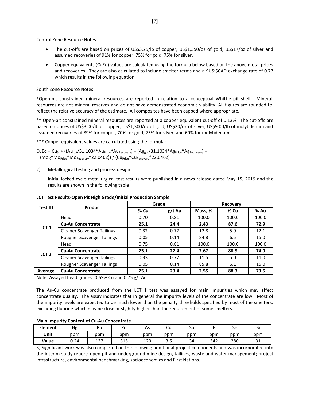Central Zone Resource Notes

- The cut-offs are based on prices of US\$3.25/lb of copper, US\$1,350/oz of gold, US\$17/oz of silver and assumed recoveries of 91% for copper, 75% for gold, 75% for silver.
- Copper equivalents (CuEq) values are calculated using the formula below based on the above metal prices and recoveries. They are also calculated to include smelter terms and a \$US:\$CAD exchange rate of 0.77 which results in the following equation.

## South Zone Resource Notes

\*Open-pit constrained mineral resources are reported in relation to a conceptual Whittle pit shell. Mineral resources are not mineral reserves and do not have demonstrated economic viability. All figures are rounded to reflect the relative accuracy of the estimate. All composites have been capped where appropriate.

\*\* Open-pit constrained mineral resources are reported at a copper equivalent cut-off of 0.13%. The cut-offs are based on prices of US\$3.00/lb of copper, US\$1,300/oz of gold, US\$20/oz of silver, US\$9.00/lb of molybdenum and assumed recoveries of 89% for copper, 70% for gold, 75% for silver, and 60% for molybdenum.

\*\*\* Copper equivalent values are calculated using the formula:

 $CUEq = Cu_{%} + ((Au_{got}/31.1034*Au_{Price}*Au_{Recovery}) + (Ag_{got}/31.1034*Ag_{Price}*Ag_{Recovery}) +$  $(Mo<sub>%</sub>*Mo<sub>Price</sub>*Mo<sub>Recovery</sub>*22.0462)$  /  $(Cu<sub>Price</sub>*Cu<sub>Recovery</sub>*22.0462)$ 

2) Metallurgical testing and process design.

Initial locked cycle metallurgical test results were published in a news release dated May 15, 2019 and the results are shown in the following table

| <b>Test ID</b>   | Product                           |      | Grade    |         | Recovery |       |
|------------------|-----------------------------------|------|----------|---------|----------|-------|
|                  |                                   | % Cu | $g/t$ Au | Mass, % | % Cu     | % Au  |
|                  | Head                              | 0.70 | 0.81     | 100.0   | 100.0    | 100.0 |
| LCT <sub>1</sub> | <b>Cu-Au Concentrate</b>          | 25.1 | 24.4     | 2.43    | 87.6     | 72.9  |
|                  | <b>Cleaner Scavenger Tailings</b> | 0.32 | 0.77     | 12.8    | 5.9      | 12.1  |
|                  | Rougher Scavenger Tailings        | 0.05 | 0.14     | 84.8    | 6.5      | 15.0  |
|                  | Head                              | 0.75 | 0.81     | 100.0   | 100.0    | 100.0 |
| LCT <sub>2</sub> | <b>Cu-Au Concentrate</b>          | 25.1 | 22.4     | 2.67    | 88.9     | 74.0  |
|                  | <b>Cleaner Scavenger Tailings</b> | 0.33 | 0.77     | 11.5    | 5.0      | 11.0  |
|                  | Rougher Scavenger Tailings        | 0.05 | 0.14     | 85.8    | 6.1      | 15.0  |
| Average          | <b>Cu-Au Concentrate</b>          | 25.1 | 23.4     | 2.55    | 88.3     | 73.5  |

#### **LCT Test Results-Open Pit High Grade/Initial Production Sample**

Note: Assayed head grades: 0.69% Cu and 0.75 g/t Au

The Au-Cu concentrate produced from the LCT 1 test was assayed for main impurities which may affect concentrate quality. The assay indicates that in general the impurity levels of the concentrate are low. Most of the impurity levels are expected to be much lower than the penalty thresholds specified by most of the smelters, excluding fluorine which may be close or slightly higher than the requirement of some smelters.

#### **Main Impurity Content of Cu-Au Concentrate**

| <b>Element</b> | Hg   | Pb  | 4H                | As  | $\overline{\phantom{0}}$<br>cu | rh.<br>วม |     | Sе  | Bi            |
|----------------|------|-----|-------------------|-----|--------------------------------|-----------|-----|-----|---------------|
| Unit           | ppm  | ppm | ppm               | ppm | ppm                            | ppm       | ppm | ppm | ppm           |
| Value          | 0.24 | 137 | <b>DAF</b><br>315 | 120 | ر. د                           | 34        | 342 | 280 | $\sim$<br>⊥ ب |

3) Significant work was also completed on the following additional project components and was incorporated into the interim study report: open pit and underground mine design, tailings, waste and water management; project infrastructure, environmental benchmarking, socioeconomics and First Nations.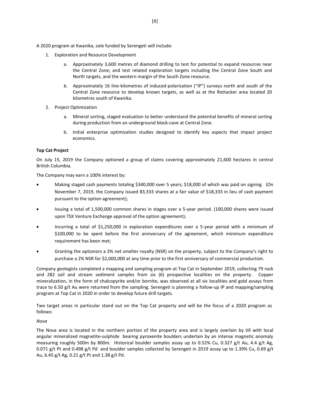A 2020 program at Kwanika, sole funded by Serengeti will include:

- 1. Exploration and Resource Development
	- a. Approximately 3,600 metres of diamond drilling to test for potential to expand resources near the Central Zone; and test related exploration targets including the Central Zone South and North targets, and the western margin of the South Zone resource.
	- b. Approximately 16 line-kilometres of induced-polarization ("IP") surveys north and south of the Central Zone resource to develop known targets, as well as at the Rottacker area located 20 kilometres south of Kwanika.
- 2. Project Optimization
	- a. Mineral sorting, staged evaluation to better understand the potential benefits of mineral sorting during production from an underground block-cave at Central Zone.
	- b. Initial enterprise optimization studies designed to identify key aspects that impact project economics.

# **Top Cat Project**

On July 15, 2019 the Company optioned a group of claims covering approximately 21,600 hectares in central British Columbia.

The Company may earn a 100% interest by:

- Making staged cash payments totaling \$340,000 over 5 years; \$18,000 of which was paid on signing. (On November 7, 2019, the Company issued 83,333 shares at a fair value of \$18,333 in lieu of cash payment pursuant to the option agreement);
- Issuing a total of 1,500,000 common shares in stages over a 5-year period. (100,000 shares were issued upon TSX Venture Exchange approval of the option agreement);
- Incurring a total of \$1,250,000 in exploration expenditures over a 5-year period with a minimum of \$100,000 to be spent before the first anniversary of the agreement, which minimum expenditure requirement has been met;
- Granting the optionors a 3% net smelter royalty (NSR) on the property, subject to the Company's right to purchase a 2% NSR for \$2,000,000 at any time prior to the first anniversary of commercial production.

Company geologists completed a mapping and sampling program at Top Cat in September 2019, collecting 79 rock and 282 soil and stream sediment samples from six (6) prospective localities on the property. Copper mineralization, in the form of chalcopyrite and/or bornite, was observed at all six localities and gold assays from trace to 6.50 g/t Au were returned from the sampling. Serengeti is planning a follow-up IP and mapping/sampling program at Top Cat in 2020 in order to develop future drill targets.

Two target areas in particular stand out on the Top Cat property and will be the focus of a 2020 program as follows:

# *Nova*

The Nova area is located in the northern portion of the property area and is largely overlain by till with local angular mineralized magnetite-sulphide bearing pyroxenite boulders underlain by an intense magnetic anomaly measuring roughly 500m by 800m. Historical boulder samples assay up to 0.52% Cu, 0.327 g/t Au, 4.4 g/t Ag, 0.071 g/t Pt and 0.498 g/t Pd and boulder samples collected by Serengeti in 2019 assay up to 1.39% Cu, 0.69 g/t Au, 6.45 g/t Ag, 0.21 g/t Pt and 1.38 g/t Pd.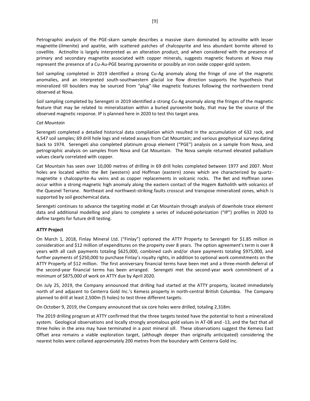Petrographic analysis of the PGE-skarn sample describes a massive skarn dominated by actinolite with lesser magnetite-(ilmenite) and apatite, with scattered patches of chalcopyrite and less abundant bornite altered to covellite. Actinolite is largely interpreted as an alteration product, and when considered with the presence of primary and secondary magnetite associated with copper minerals, suggests magnetic features at Nova may represent the presence of a Cu-Au-PGE bearing pyroxenite or possibly an iron oxide copper-gold system.

Soil sampling completed in 2019 identified a strong Cu-Ag anomaly along the fringe of one of the magnetic anomalies, and an interpreted south-southwestern glacial ice flow direction supports the hypothesis that mineralized till boulders may be sourced from "plug"-like magnetic features following the northwestern trend observed at Nova.

Soil sampling completed by Serengeti in 2019 identified a strong Cu-Ag anomaly along the fringes of the magnetic feature that may be related to mineralization within a buried pyroxenite body, that may be the source of the observed magnetic response. IP is planned here in 2020 to test this target area.

# *Cat Mountain*

Serengeti completed a detailed historical data compilation which resulted in the accumulation of 632 rock, and 4,547 soil samples; 69 drill hole logs and related assays from Cat Mountain; and various geophysical surveys dating back to 1974. Serengeti also completed platinum group element ("PGE") analysis on a sample from Nova, and petrographic analysis on samples from Nova and Cat Mountain. The Nova sample returned elevated palladium values clearly correlated with copper.

Cat Mountain has seen over 10,000 metres of drilling in 69 drill holes completed between 1977 and 2007. Most holes are located within the Bet (western) and Hoffman (eastern) zones which are characterized by quartzmagnetite ± chalcopyrite-Au veins and as copper replacements in volcanic rocks. The Bet and Hoffman zones occur within a strong magnetic high anomaly along the eastern contact of the Hogem Batholith with volcanics of the Quesnel Terrane. Northeast and northwest-striking faults crosscut and transpose mineralized zones, which is supported by soil geochemical data.

Serengeti continues to advance the targeting model at Cat Mountain through analysis of downhole trace element data and additional modelling and plans to complete a series of induced-polarization ("IP") profiles in 2020 to define targets for future drill testing.

# **ATTY Project**

On March 1, 2018, Finlay Mineral Ltd. ("Finlay") optioned the ATTY Property to Serengeti for \$1.85 million in consideration and \$12 million of expenditures on the property over 8 years. The option agreement's term is over 8 years with all cash payments totaling \$625,000, combined cash and/or share payments totaling \$975,000, and further payments of \$250,000 to purchase Finlay's royalty rights, in addition to optional work commitments on the ATTY Property of \$12 million. The first anniversary financial terms have been met and a three-month deferral of the second-year financial terms has been arranged. Serengeti met the second-year work commitment of a minimum of \$875,000 of work on ATTY due by April 2020.

On July 25, 2019, the Company announced that drilling had started at the ATTY property, located immediately north of and adjacent to Centerra Gold Inc.'s Kemess property in north-central British Columbia. The Company planned to drill at least 2,500m (5 holes) to test three different targets.

On October 9, 2019, the Company announced that six core holes were drilled, totaling 2,318m.

The 2019 drilling program at ATTY confirmed that the three targets tested have the potential to host a mineralized system. Geological observations and locally strongly anomalous gold values in AT-08 and -13, and the fact that all three holes in the area may have terminated in a post mineral sill. These observations suggest the Kemess East Offset area remains a viable exploration target, (although deeper than originally anticipated) considering the nearest holes were collared approximately 200 metres from the boundary with Centerra Gold Inc.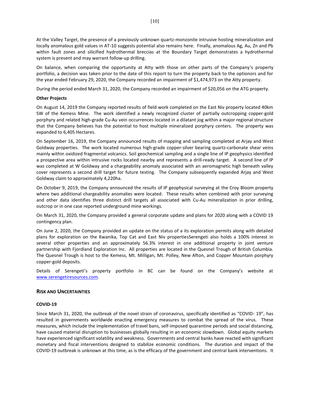At the Valley Target, the presence of a previously unknown quartz-monzonite intrusive hosting mineralization and locally anomalous gold values in AT-10 suggests potential also remains here. Finally, anomalous Ag, Au, Zn and Pb within fault zones and silicified hydrothermal breccias at the Boundary Target demonstrates a hydrothermal system is present and may warrant follow-up drilling.

On balance, when comparing the opportunity at Atty with those on other parts of the Company's property portfolio, a decision was taken prior to the date of this report to turn the property back to the optionors and for the year ended February 29, 2020, the Company recorded an impairment of \$1,474,973 on the Atty property.

During the period ended March 31, 2020, the Company recorded an impairment of \$20,056 on the ATG property.

# **Other Projects**

On August 14, 2019 the Company reported results of field work completed on the East Niv property located 40km SW of the Kemess Mine. The work identified a newly recognized cluster of partially outcropping copper-gold porphyry and related high-grade Cu-Au vein occurrences located in a dilatant jog within a major regional structure that the Company believes has the potential to host multiple mineralized porphyry centers. The property was expanded to 6,405 Hectares.

On September 16, 2019, the Company announced results of mapping and sampling completed at Arjay and West Goldway properties. The work located numerous high-grade copper-silver bearing quartz-carbonate shear veins mainly within oxidized fragmental volcanics. Soil geochemical sampling and a single line of IP geophysics identified a prospective area within intrusive rocks located nearby and represents a drill-ready target. A second line of IP was completed at W Goldway and a chargeability anomaly associated with an aeromagnetic high beneath valley cover represents a second drill target for future testing. The Company subsequently expanded Arjay and West Goldway claim to approximately 4,220ha.

On October 9, 2019, the Company announced the results of IP geophysical surveying at the Croy Bloom property where two additional chargeability anomalies were located. These results when combined with prior surveying and other data identifies three distinct drill targets all associated with Cu-Au mineralization in prior drilling, outcrop or in one case reported underground mine workings.

On March 31, 2020, the Company provided a general corporate update and plans for 2020 along with a COVID 19 contingency plan.

On June 2, 2020, the Company provided an update on the status of a its exploration permits along with detailed plans for exploration on the Kwanika, Top Cat and East Niv propertiesSerengeti also holds a 100% interest in several other properties and an approximately 56.3% interest in one additional property in joint venture partnership with Fjordland Exploration Inc. All properties are located in the Quesnel Trough of British Columbia. The Quesnel Trough is host to the Kemess, Mt. Milligan, Mt. Polley, New Afton, and Copper Mountain porphyry copper-gold deposits.

Details of Serengeti's property portfolio in BC can be found on the Company's website at [www.serengetiresources.com.](http://www.serengetiresources.com/) 

# **RISK AND UNCERTAINTIES**

# **COVID-19**

Since March 31, 2020, the outbreak of the novel strain of coronavirus, specifically identified as "COVID- 19", has resulted in governments worldwide enacting emergency measures to combat the spread of the virus. These measures, which include the implementation of travel bans, self-imposed quarantine periods and social distancing, have caused material disruption to businesses globally resulting in an economic slowdown. Global equity markets have experienced significant volatility and weakness. Governments and central banks have reacted with significant monetary and fiscal interventions designed to stabilize economic conditions. The duration and impact of the COVID-19 outbreak is unknown at this time, as is the efficacy of the government and central bank interventions. It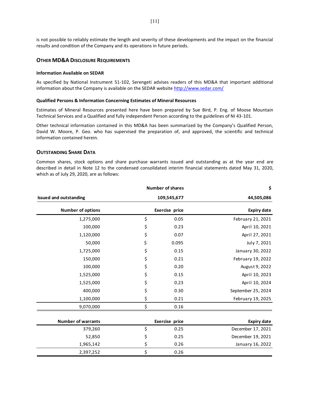is not possible to reliably estimate the length and severity of these developments and the impact on the financial results and condition of the Company and its operations in future periods.

# **OTHER MD&A DISCLOSURE REQUIREMENTS**

#### **Information Available on SEDAR**

As specified by National Instrument 51-102, Serengeti advises readers of this MD&A that important additional information about the Company is available on the SEDAR website [http://www.sedar.com/](about:blank)

#### **Qualified Persons & Information Concerning Estimates of Mineral Resources**

Estimates of Mineral Resources presented here have been prepared by Sue Bird, P. Eng. of Moose Mountain Technical Services and a Qualified and fully independent Person according to the guidelines of NI 43-101.

Other technical information contained in this MD&A has been summarized by the Company's Qualified Person, David W. Moore, P. Geo. who has supervised the preparation of, and approved, the scientific and technical information contained herein.

# **OUTSTANDING SHARE DATA**

Common shares, stock options and share purchase warrants issued and outstanding as at the year end are described in detail in Note 12 to the condensed consolidated interim financial statements dated May 31, 2020, which as of July 29, 2020, are as follows:

| \$                 | <b>Number of shares</b> |                               |
|--------------------|-------------------------|-------------------------------|
| 44,505,086         | 109,545,677             | <b>Issued and outstanding</b> |
| <b>Expiry date</b> | Exercise price          | <b>Number of options</b>      |
| February 21, 2021  | 0.05                    | \$<br>1,275,000               |
| April 10, 2021     | 0.23                    | \$<br>100,000                 |
| April 27, 2021     | 0.07                    | \$<br>1,120,000               |
| July 7, 2021       | 0.095                   | \$<br>50,000                  |
| January 30, 2022   | 0.15                    | \$<br>1,725,000               |
| February 19, 2022  | 0.21                    | \$<br>150,000                 |
| August 9, 2022     | 0.20                    | \$<br>100,000                 |
| April 10, 2023     | 0.15                    | \$<br>1,525,000               |
| April 10, 2024     | 0.23                    | \$<br>1,525,000               |
| September 25, 2024 | 0.30                    | \$<br>400,000                 |
| February 19, 2025  | 0.21                    | \$<br>1,100,000               |
|                    | 0.16                    | \$<br>9,070,000               |
| <b>Expiry date</b> | Exercise price          | <b>Number of warrants</b>     |
| December 17, 2021  | 0.25                    | \$<br>379,260                 |
| December 19, 2021  | 0.25                    | \$<br>52,850                  |
| January 16, 2022   | 0.26                    | \$<br>1,965,142               |

2,397,252 \$ 0.26